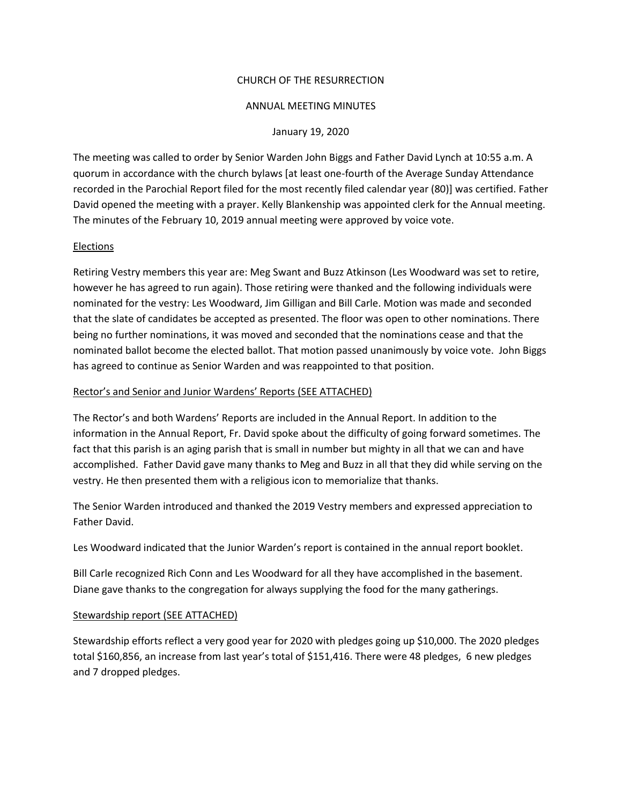## CHURCH OF THE RESURRECTION

### ANNUAL MEETING MINUTES

#### January 19, 2020

The meeting was called to order by Senior Warden John Biggs and Father David Lynch at 10:55 a.m. A quorum in accordance with the church bylaws [at least one-fourth of the Average Sunday Attendance recorded in the Parochial Report filed for the most recently filed calendar year (80)] was certified. Father David opened the meeting with a prayer. Kelly Blankenship was appointed clerk for the Annual meeting. The minutes of the February 10, 2019 annual meeting were approved by voice vote.

## Elections

Retiring Vestry members this year are: Meg Swant and Buzz Atkinson (Les Woodward was set to retire, however he has agreed to run again). Those retiring were thanked and the following individuals were nominated for the vestry: Les Woodward, Jim Gilligan and Bill Carle. Motion was made and seconded that the slate of candidates be accepted as presented. The floor was open to other nominations. There being no further nominations, it was moved and seconded that the nominations cease and that the nominated ballot become the elected ballot. That motion passed unanimously by voice vote. John Biggs has agreed to continue as Senior Warden and was reappointed to that position.

#### Rector's and Senior and Junior Wardens' Reports (SEE ATTACHED)

The Rector's and both Wardens' Reports are included in the Annual Report. In addition to the information in the Annual Report, Fr. David spoke about the difficulty of going forward sometimes. The fact that this parish is an aging parish that is small in number but mighty in all that we can and have accomplished. Father David gave many thanks to Meg and Buzz in all that they did while serving on the vestry. He then presented them with a religious icon to memorialize that thanks.

The Senior Warden introduced and thanked the 2019 Vestry members and expressed appreciation to Father David.

Les Woodward indicated that the Junior Warden's report is contained in the annual report booklet.

Bill Carle recognized Rich Conn and Les Woodward for all they have accomplished in the basement. Diane gave thanks to the congregation for always supplying the food for the many gatherings.

## Stewardship report (SEE ATTACHED)

Stewardship efforts reflect a very good year for 2020 with pledges going up \$10,000. The 2020 pledges total \$160,856, an increase from last year's total of \$151,416. There were 48 pledges, 6 new pledges and 7 dropped pledges.